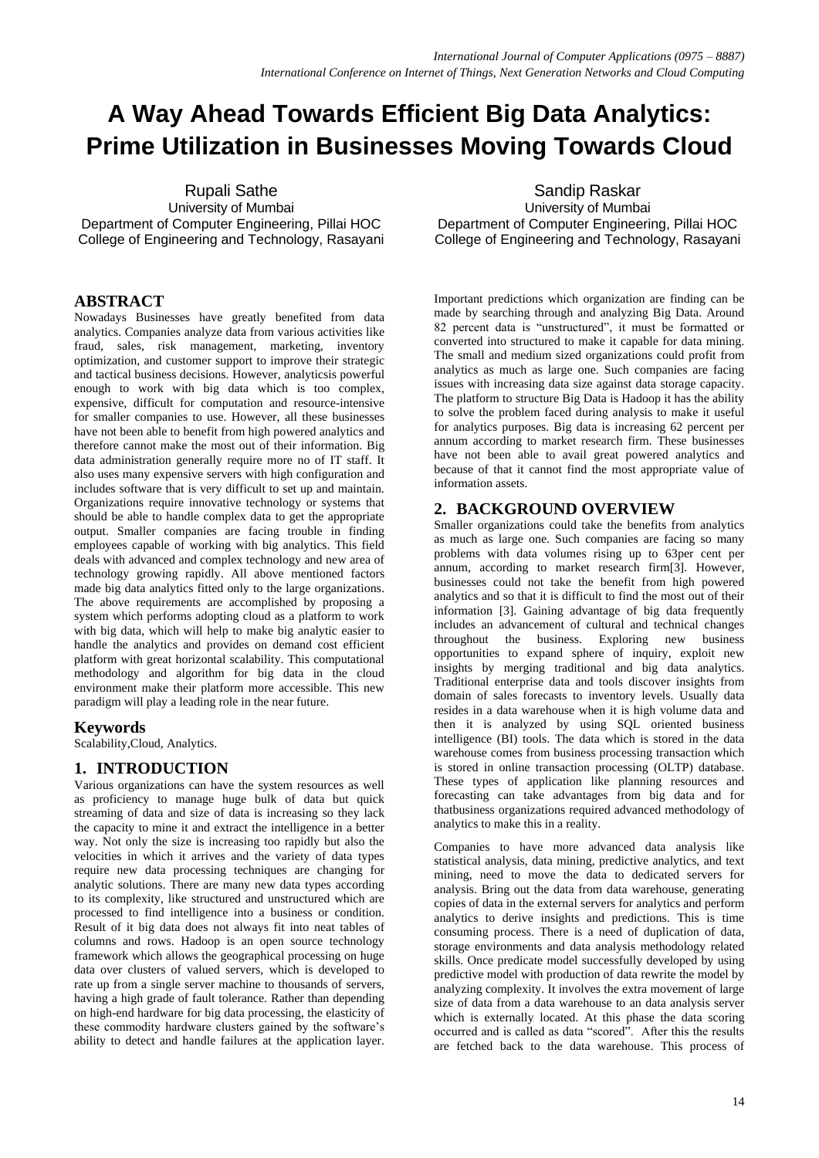# **A Way Ahead Towards Efficient Big Data Analytics: Prime Utilization in Businesses Moving Towards Cloud**

Rupali Sathe University of Mumbai Department of Computer Engineering, Pillai HOC College of Engineering and Technology, Rasayani

# **ABSTRACT**

Nowadays Businesses have greatly benefited from data analytics. Companies analyze data from various activities like fraud, sales, risk management, marketing, inventory optimization, and customer support to improve their strategic and tactical business decisions. However, analyticsis powerful enough to work with big data which is too complex, expensive, difficult for computation and resource-intensive for smaller companies to use. However, all these businesses have not been able to benefit from high powered analytics and therefore cannot make the most out of their information. Big data administration generally require more no of IT staff. It also uses many expensive servers with high configuration and includes software that is very difficult to set up and maintain. Organizations require innovative technology or systems that should be able to handle complex data to get the appropriate output. Smaller companies are facing trouble in finding employees capable of working with big analytics. This field deals with advanced and complex technology and new area of technology growing rapidly. All above mentioned factors made big data analytics fitted only to the large organizations. The above requirements are accomplished by proposing a system which performs adopting cloud as a platform to work with big data, which will help to make big analytic easier to handle the analytics and provides on demand cost efficient platform with great horizontal scalability. This computational methodology and algorithm for big data in the cloud environment make their platform more accessible. This new paradigm will play a leading role in the near future.

## **Keywords**

Scalability,Cloud, Analytics.

## **1. INTRODUCTION**

Various organizations can have the system resources as well as proficiency to manage huge bulk of data but quick streaming of data and size of data is increasing so they lack the capacity to mine it and extract the intelligence in a better way. Not only the size is increasing too rapidly but also the velocities in which it arrives and the variety of data types require new data processing techniques are changing for analytic solutions. There are many new data types according to its complexity, like structured and unstructured which are processed to find intelligence into a business or condition. Result of it big data does not always fit into neat tables of columns and rows. Hadoop is an open source technology framework which allows the geographical processing on huge data over clusters of valued servers, which is developed to rate up from a single server machine to thousands of servers, having a high grade of fault tolerance. Rather than depending on high-end hardware for big data processing, the elasticity of these commodity hardware clusters gained by the software's ability to detect and handle failures at the application layer.

Sandip Raskar University of Mumbai Department of Computer Engineering, Pillai HOC College of Engineering and Technology, Rasayani

Important predictions which organization are finding can be made by searching through and analyzing Big Data. Around 82 percent data is "unstructured", it must be formatted or converted into structured to make it capable for data mining. The small and medium sized organizations could profit from analytics as much as large one. Such companies are facing issues with increasing data size against data storage capacity. The platform to structure Big Data is Hadoop it has the ability to solve the problem faced during analysis to make it useful for analytics purposes. Big data is increasing 62 percent per annum according to market research firm. These businesses have not been able to avail great powered analytics and because of that it cannot find the most appropriate value of information assets.

## **2. BACKGROUND OVERVIEW**

Smaller organizations could take the benefits from analytics as much as large one. Such companies are facing so many problems with data volumes rising up to 63per cent per annum, according to market research firm[3]. However, businesses could not take the benefit from high powered analytics and so that it is difficult to find the most out of their information [3]. Gaining advantage of big data frequently includes an advancement of cultural and technical changes throughout the business. Exploring new business opportunities to expand sphere of inquiry, exploit new insights by merging traditional and big data analytics. Traditional enterprise data and tools discover insights from domain of sales forecasts to inventory levels. Usually data resides in a data warehouse when it is high volume data and then it is analyzed by using SQL oriented business intelligence (BI) tools. The data which is stored in the data warehouse comes from business processing transaction which is stored in online transaction processing (OLTP) database. These types of application like planning resources and forecasting can take advantages from big data and for thatbusiness organizations required advanced methodology of analytics to make this in a reality.

Companies to have more advanced data analysis like statistical analysis, data mining, predictive analytics, and text mining, need to move the data to dedicated servers for analysis. Bring out the data from data warehouse, generating copies of data in the external servers for analytics and perform analytics to derive insights and predictions. This is time consuming process. There is a need of duplication of data, storage environments and data analysis methodology related skills. Once predicate model successfully developed by using predictive model with production of data rewrite the model by analyzing complexity. It involves the extra movement of large size of data from a data warehouse to an data analysis server which is externally located. At this phase the data scoring occurred and is called as data "scored". After this the results are fetched back to the data warehouse. This process of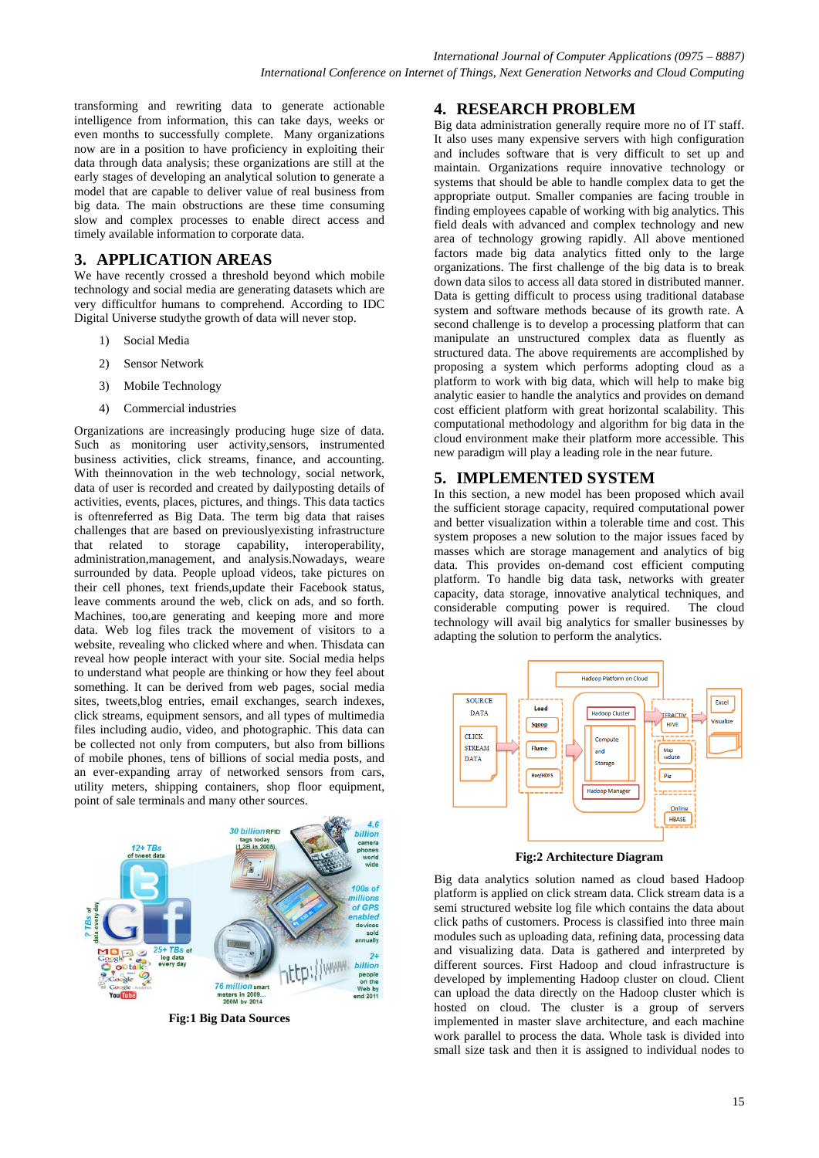transforming and rewriting data to generate actionable intelligence from information, this can take days, weeks or even months to successfully complete. Many organizations now are in a position to have proficiency in exploiting their data through data analysis; these organizations are still at the early stages of developing an analytical solution to generate a model that are capable to deliver value of real business from big data. The main obstructions are these time consuming slow and complex processes to enable direct access and timely available information to corporate data.

# **3. APPLICATION AREAS**

We have recently crossed a threshold beyond which mobile technology and social media are generating datasets which are very difficultfor humans to comprehend. According to IDC Digital Universe studythe growth of data will never stop.

- 1) Social Media
- 2) Sensor Network
- 3) Mobile Technology
- 4) Commercial industries

Organizations are increasingly producing huge size of data. Such as monitoring user activity,sensors, instrumented business activities, click streams, finance, and accounting. With theinnovation in the web technology, social network, data of user is recorded and created by dailyposting details of activities, events, places, pictures, and things. This data tactics is oftenreferred as Big Data. The term big data that raises challenges that are based on previouslyexisting infrastructure that related to storage capability, interoperability, administration,management, and analysis.Nowadays, weare surrounded by data. People upload videos, take pictures on their cell phones, text friends,update their Facebook status, leave comments around the web, click on ads, and so forth. Machines, too,are generating and keeping more and more data. Web log files track the movement of visitors to a website, revealing who clicked where and when. Thisdata can reveal how people interact with your site. Social media helps to understand what people are thinking or how they feel about something. It can be derived from web pages, social media sites, tweets,blog entries, email exchanges, search indexes, click streams, equipment sensors, and all types of multimedia files including audio, video, and photographic. This data can be collected not only from computers, but also from billions of mobile phones, tens of billions of social media posts, and an ever-expanding array of networked sensors from cars, utility meters, shipping containers, shop floor equipment, point of sale terminals and many other sources.



**Fig:1 Big Data Sources**

## **4. RESEARCH PROBLEM**

Big data administration generally require more no of IT staff. It also uses many expensive servers with high configuration and includes software that is very difficult to set up and maintain. Organizations require innovative technology or systems that should be able to handle complex data to get the appropriate output. Smaller companies are facing trouble in finding employees capable of working with big analytics. This field deals with advanced and complex technology and new area of technology growing rapidly. All above mentioned factors made big data analytics fitted only to the large organizations. The first challenge of the big data is to break down data silos to access all data stored in distributed manner. Data is getting difficult to process using traditional database system and software methods because of its growth rate. A second challenge is to develop a processing platform that can manipulate an unstructured complex data as fluently as structured data. The above requirements are accomplished by proposing a system which performs adopting cloud as a platform to work with big data, which will help to make big analytic easier to handle the analytics and provides on demand cost efficient platform with great horizontal scalability. This computational methodology and algorithm for big data in the cloud environment make their platform more accessible. This new paradigm will play a leading role in the near future.

# **5. IMPLEMENTED SYSTEM**

In this section, a new model has been proposed which avail the sufficient storage capacity, required computational power and better visualization within a tolerable time and cost. This system proposes a new solution to the major issues faced by masses which are storage management and analytics of big data. This provides on-demand cost efficient computing platform. To handle big data task, networks with greater capacity, data storage, innovative analytical techniques, and considerable computing power is required. The cloud technology will avail big analytics for smaller businesses by adapting the solution to perform the analytics.



**Fig:2 Architecture Diagram**

Big data analytics solution named as cloud based Hadoop platform is applied on click stream data. Click stream data is a semi structured website log file which contains the data about click paths of customers. Process is classified into three main modules such as uploading data, refining data, processing data and visualizing data. Data is gathered and interpreted by different sources. First Hadoop and cloud infrastructure is developed by implementing Hadoop cluster on cloud. Client can upload the data directly on the Hadoop cluster which is hosted on cloud. The cluster is a group of servers implemented in master slave architecture, and each machine work parallel to process the data. Whole task is divided into small size task and then it is assigned to individual nodes to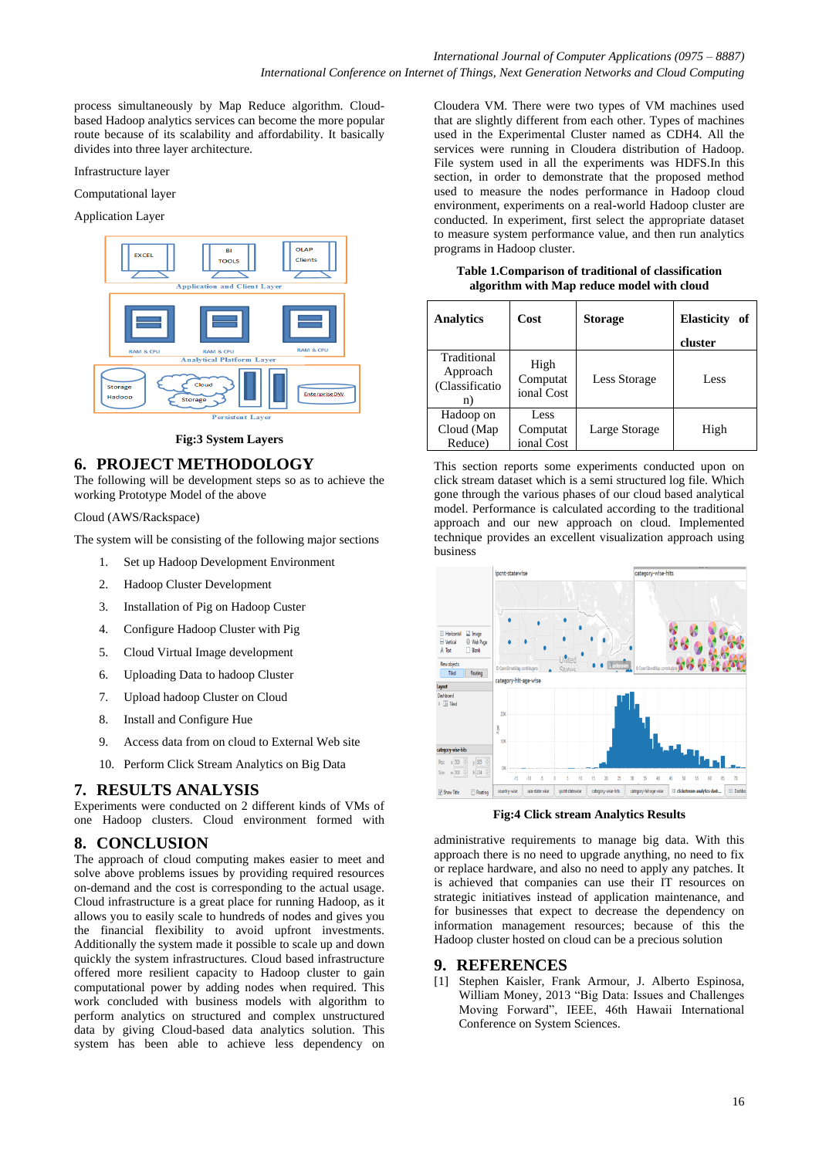process simultaneously by Map Reduce algorithm. Cloudbased Hadoop analytics services can become the more popular route because of its scalability and affordability. It basically divides into three layer architecture.

#### Infrastructure layer

#### Computational layer

#### Application Layer



#### **Fig:3 System Layers**

## **6. PROJECT METHODOLOGY**

The following will be development steps so as to achieve the working Prototype Model of the above

#### Cloud (AWS/Rackspace)

The system will be consisting of the following major sections

- 1. Set up Hadoop Development Environment
- 2. Hadoop Cluster Development
- 3. Installation of Pig on Hadoop Custer
- 4. Configure Hadoop Cluster with Pig
- 5. Cloud Virtual Image development
- 6. Uploading Data to hadoop Cluster
- 7. Upload hadoop Cluster on Cloud
- 8. Install and Configure Hue
- 9. Access data from on cloud to External Web site
- 10. Perform Click Stream Analytics on Big Data

## **7. RESULTS ANALYSIS**

Experiments were conducted on 2 different kinds of VMs of one Hadoop clusters. Cloud environment formed with

## **8. CONCLUSION**

The approach of cloud computing makes easier to meet and solve above problems issues by providing required resources on-demand and the cost is corresponding to the actual usage. Cloud infrastructure is a great place for running Hadoop, as it allows you to easily scale to hundreds of nodes and gives you the financial flexibility to avoid upfront investments. Additionally the system made it possible to scale up and down quickly the system infrastructures. Cloud based infrastructure offered more resilient capacity to Hadoop cluster to gain computational power by adding nodes when required. This work concluded with business models with algorithm to perform analytics on structured and complex unstructured data by giving Cloud-based data analytics solution. This system has been able to achieve less dependency on

Cloudera VM. There were two types of VM machines used that are slightly different from each other. Types of machines used in the Experimental Cluster named as CDH4. All the services were running in Cloudera distribution of Hadoop. File system used in all the experiments was HDFS.In this section, in order to demonstrate that the proposed method used to measure the nodes performance in Hadoop cloud environment, experiments on a real-world Hadoop cluster are conducted. In experiment, first select the appropriate dataset to measure system performance value, and then run analytics programs in Hadoop cluster.

**Table 1.Comparison of traditional of classification algorithm with Map reduce model with cloud**

| <b>Analytics</b>                               | Cost                           | <b>Storage</b> | <b>Elasticity</b><br>of<br>cluster |
|------------------------------------------------|--------------------------------|----------------|------------------------------------|
| Traditional<br>Approach<br>(Classificatio<br>n | High<br>Computat<br>ional Cost | Less Storage   | Less                               |
| Hadoop on<br>Cloud (Map<br>Reduce)             | Less<br>Computat<br>ional Cost | Large Storage  | High                               |

This section reports some experiments conducted upon on click stream dataset which is a semi structured log file. Which gone through the various phases of our cloud based analytical model. Performance is calculated according to the traditional approach and our new approach on cloud. Implemented technique provides an excellent visualization approach using business



**Fig:4 Click stream Analytics Results** 

administrative requirements to manage big data. With this approach there is no need to upgrade anything, no need to fix or replace hardware, and also no need to apply any patches. It is achieved that companies can use their IT resources on strategic initiatives instead of application maintenance, and for businesses that expect to decrease the dependency on information management resources; because of this the Hadoop cluster hosted on cloud can be a precious solution

#### **9. REFERENCES**

[1] Stephen Kaisler, Frank Armour, J. Alberto Espinosa, William Money, 2013 "Big Data: Issues and Challenges Moving Forward", IEEE, 46th Hawaii International Conference on System Sciences.